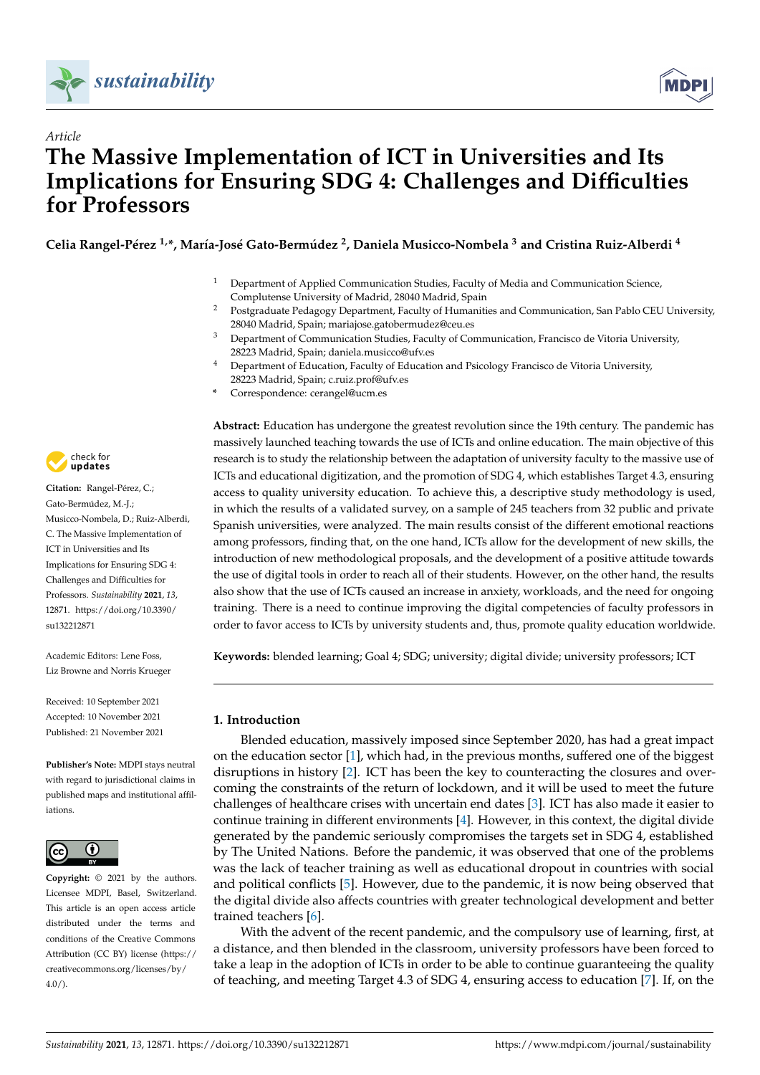



# *Article* **The Massive Implementation of ICT in Universities and Its Implications for Ensuring SDG 4: Challenges and Difficulties for Professors**

**Celia Rangel-Pérez 1,\*, María-José Gato-Bermúdez <sup>2</sup> , Daniela Musicco-Nombela <sup>3</sup> and Cristina Ruiz-Alberdi <sup>4</sup>**

- <sup>1</sup> Department of Applied Communication Studies, Faculty of Media and Communication Science, Complutense University of Madrid, 28040 Madrid, Spain
- <sup>2</sup> Postgraduate Pedagogy Department, Faculty of Humanities and Communication, San Pablo CEU University, 28040 Madrid, Spain; mariajose.gatobermudez@ceu.es
- <sup>3</sup> Department of Communication Studies, Faculty of Communication, Francisco de Vitoria University, 28223 Madrid, Spain; daniela.musicco@ufv.es
- <sup>4</sup> Department of Education, Faculty of Education and Psicology Francisco de Vitoria University, 28223 Madrid, Spain; c.ruiz.prof@ufv.es
- **\*** Correspondence: cerangel@ucm.es

check for **-**

**Citation:** Rangel-Pérez, C.; Gato-Bermúdez, M.-J.; Musicco-Nombela, D.; Ruiz-Alberdi, C. The Massive Implementation of ICT in Universities and Its Implications for Ensuring SDG 4: Challenges and Difficulties for Professors. *Sustainability* **2021**, *13*, 12871. [https://doi.org/10.3390/](https://doi.org/10.3390/su132212871) [su132212871](https://doi.org/10.3390/su132212871)

Academic Editors: Lene Foss, Liz Browne and Norris Krueger

Received: 10 September 2021 Accepted: 10 November 2021 Published: 21 November 2021

**Publisher's Note:** MDPI stays neutral with regard to jurisdictional claims in published maps and institutional affiliations.



**Copyright:** © 2021 by the authors. Licensee MDPI, Basel, Switzerland. This article is an open access article distributed under the terms and conditions of the Creative Commons Attribution (CC BY) license (https:/[/](https://creativecommons.org/licenses/by/4.0/) [creativecommons.org/licenses/by/](https://creativecommons.org/licenses/by/4.0/)  $4.0/$ ).

**Abstract:** Education has undergone the greatest revolution since the 19th century. The pandemic has massively launched teaching towards the use of ICTs and online education. The main objective of this research is to study the relationship between the adaptation of university faculty to the massive use of ICTs and educational digitization, and the promotion of SDG 4, which establishes Target 4.3, ensuring access to quality university education. To achieve this, a descriptive study methodology is used, in which the results of a validated survey, on a sample of 245 teachers from 32 public and private Spanish universities, were analyzed. The main results consist of the different emotional reactions among professors, finding that, on the one hand, ICTs allow for the development of new skills, the introduction of new methodological proposals, and the development of a positive attitude towards the use of digital tools in order to reach all of their students. However, on the other hand, the results also show that the use of ICTs caused an increase in anxiety, workloads, and the need for ongoing training. There is a need to continue improving the digital competencies of faculty professors in order to favor access to ICTs by university students and, thus, promote quality education worldwide.

**Keywords:** blended learning; Goal 4; SDG; university; digital divide; university professors; ICT

# **1. Introduction**

Blended education, massively imposed since September 2020, has had a great impact on the education sector [\[1\]](#page-11-0), which had, in the previous months, suffered one of the biggest disruptions in history [\[2\]](#page-11-1). ICT has been the key to counteracting the closures and overcoming the constraints of the return of lockdown, and it will be used to meet the future challenges of healthcare crises with uncertain end dates [\[3\]](#page-11-2). ICT has also made it easier to continue training in different environments [\[4\]](#page-11-3). However, in this context, the digital divide generated by the pandemic seriously compromises the targets set in SDG 4, established by The United Nations. Before the pandemic, it was observed that one of the problems was the lack of teacher training as well as educational dropout in countries with social and political conflicts [\[5\]](#page-11-4). However, due to the pandemic, it is now being observed that the digital divide also affects countries with greater technological development and better trained teachers [\[6\]](#page-11-5).

With the advent of the recent pandemic, and the compulsory use of learning, first, at a distance, and then blended in the classroom, university professors have been forced to take a leap in the adoption of ICTs in order to be able to continue guaranteeing the quality of teaching, and meeting Target 4.3 of SDG 4, ensuring access to education [\[7\]](#page-11-6). If, on the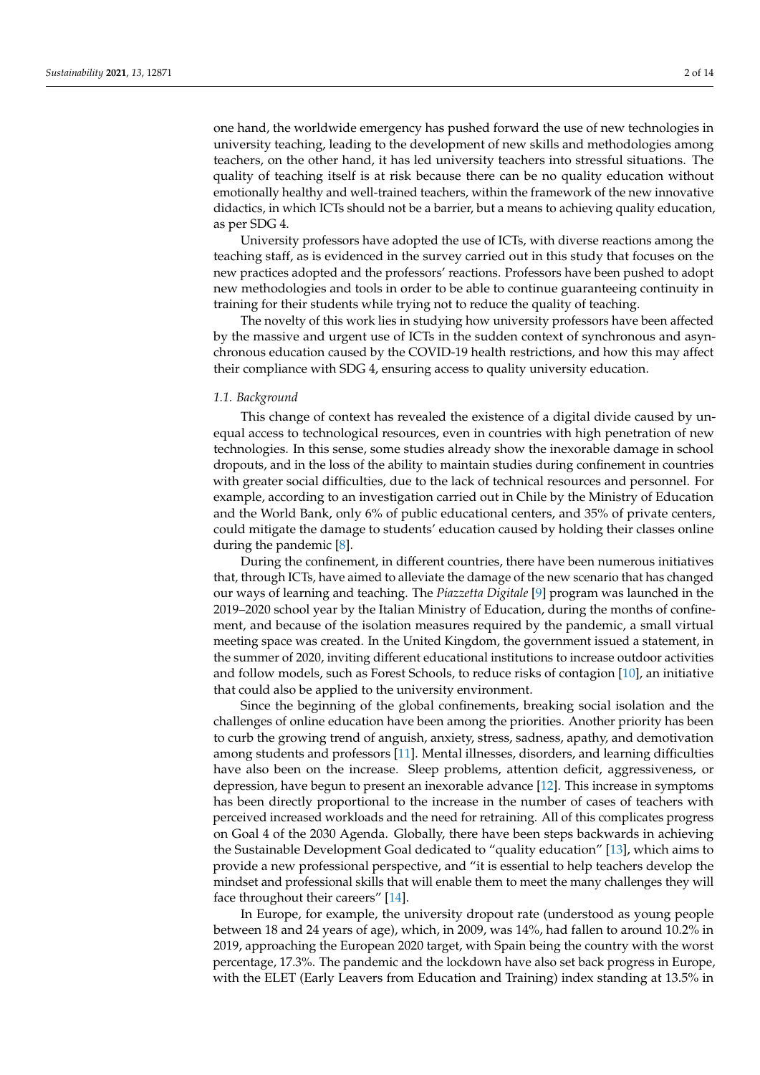one hand, the worldwide emergency has pushed forward the use of new technologies in university teaching, leading to the development of new skills and methodologies among teachers, on the other hand, it has led university teachers into stressful situations. The quality of teaching itself is at risk because there can be no quality education without emotionally healthy and well-trained teachers, within the framework of the new innovative didactics, in which ICTs should not be a barrier, but a means to achieving quality education, as per SDG 4.

University professors have adopted the use of ICTs, with diverse reactions among the teaching staff, as is evidenced in the survey carried out in this study that focuses on the new practices adopted and the professors' reactions. Professors have been pushed to adopt new methodologies and tools in order to be able to continue guaranteeing continuity in training for their students while trying not to reduce the quality of teaching.

The novelty of this work lies in studying how university professors have been affected by the massive and urgent use of ICTs in the sudden context of synchronous and asynchronous education caused by the COVID-19 health restrictions, and how this may affect their compliance with SDG 4, ensuring access to quality university education.

## *1.1. Background*

This change of context has revealed the existence of a digital divide caused by unequal access to technological resources, even in countries with high penetration of new technologies. In this sense, some studies already show the inexorable damage in school dropouts, and in the loss of the ability to maintain studies during confinement in countries with greater social difficulties, due to the lack of technical resources and personnel. For example, according to an investigation carried out in Chile by the Ministry of Education and the World Bank, only 6% of public educational centers, and 35% of private centers, could mitigate the damage to students' education caused by holding their classes online during the pandemic [\[8\]](#page-11-7).

During the confinement, in different countries, there have been numerous initiatives that, through ICTs, have aimed to alleviate the damage of the new scenario that has changed our ways of learning and teaching. The *Piazzetta Digitale* [\[9\]](#page-11-8) program was launched in the 2019–2020 school year by the Italian Ministry of Education, during the months of confinement, and because of the isolation measures required by the pandemic, a small virtual meeting space was created. In the United Kingdom, the government issued a statement, in the summer of 2020, inviting different educational institutions to increase outdoor activities and follow models, such as Forest Schools, to reduce risks of contagion [\[10\]](#page-11-9), an initiative that could also be applied to the university environment.

Since the beginning of the global confinements, breaking social isolation and the challenges of online education have been among the priorities. Another priority has been to curb the growing trend of anguish, anxiety, stress, sadness, apathy, and demotivation among students and professors [\[11\]](#page-11-10). Mental illnesses, disorders, and learning difficulties have also been on the increase. Sleep problems, attention deficit, aggressiveness, or depression, have begun to present an inexorable advance [\[12\]](#page-11-11). This increase in symptoms has been directly proportional to the increase in the number of cases of teachers with perceived increased workloads and the need for retraining. All of this complicates progress on Goal 4 of the 2030 Agenda. Globally, there have been steps backwards in achieving the Sustainable Development Goal dedicated to "quality education" [\[13\]](#page-11-12), which aims to provide a new professional perspective, and "it is essential to help teachers develop the mindset and professional skills that will enable them to meet the many challenges they will face throughout their careers" [\[14\]](#page-11-13).

In Europe, for example, the university dropout rate (understood as young people between 18 and 24 years of age), which, in 2009, was 14%, had fallen to around 10.2% in 2019, approaching the European 2020 target, with Spain being the country with the worst percentage, 17.3%. The pandemic and the lockdown have also set back progress in Europe, with the ELET (Early Leavers from Education and Training) index standing at 13.5% in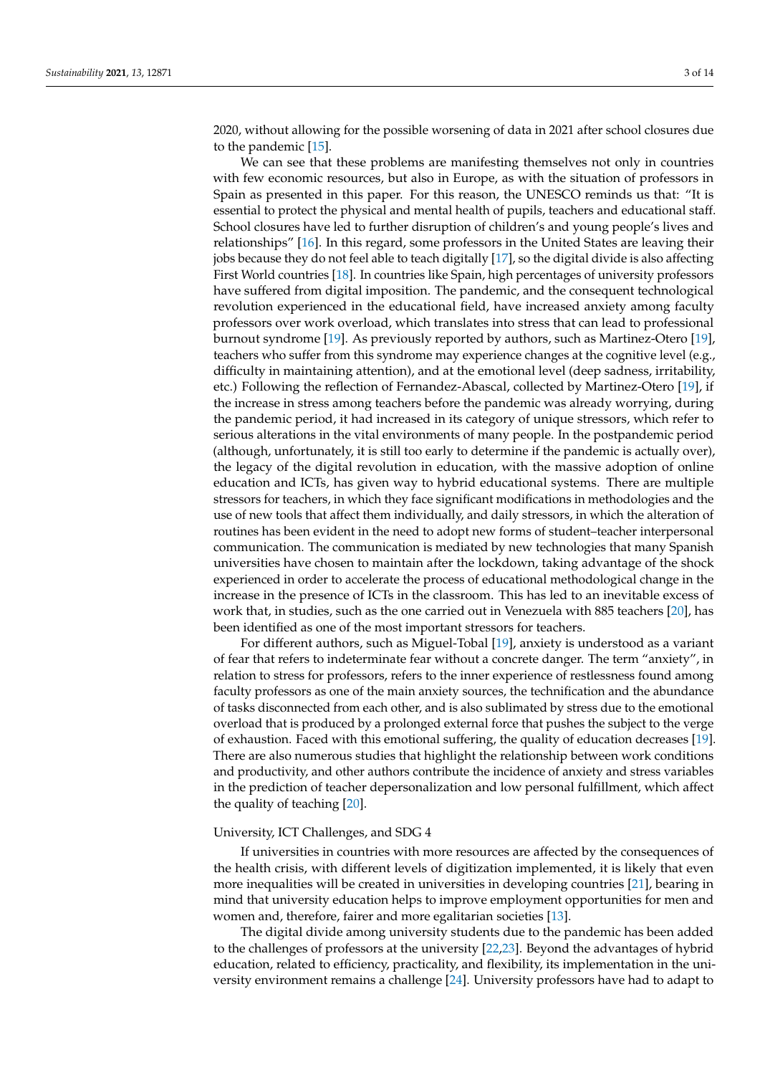2020, without allowing for the possible worsening of data in 2021 after school closures due to the pandemic [\[15\]](#page-12-0).

We can see that these problems are manifesting themselves not only in countries with few economic resources, but also in Europe, as with the situation of professors in Spain as presented in this paper. For this reason, the UNESCO reminds us that: "It is essential to protect the physical and mental health of pupils, teachers and educational staff. School closures have led to further disruption of children's and young people's lives and relationships" [\[16\]](#page-12-1). In this regard, some professors in the United States are leaving their jobs because they do not feel able to teach digitally [\[17\]](#page-12-2), so the digital divide is also affecting First World countries [\[18\]](#page-12-3). In countries like Spain, high percentages of university professors have suffered from digital imposition. The pandemic, and the consequent technological revolution experienced in the educational field, have increased anxiety among faculty professors over work overload, which translates into stress that can lead to professional burnout syndrome [\[19\]](#page-12-4). As previously reported by authors, such as Martinez-Otero [\[19\]](#page-12-4), teachers who suffer from this syndrome may experience changes at the cognitive level (e.g., difficulty in maintaining attention), and at the emotional level (deep sadness, irritability, etc.) Following the reflection of Fernandez-Abascal, collected by Martinez-Otero [\[19\]](#page-12-4), if the increase in stress among teachers before the pandemic was already worrying, during the pandemic period, it had increased in its category of unique stressors, which refer to serious alterations in the vital environments of many people. In the postpandemic period (although, unfortunately, it is still too early to determine if the pandemic is actually over), the legacy of the digital revolution in education, with the massive adoption of online education and ICTs, has given way to hybrid educational systems. There are multiple stressors for teachers, in which they face significant modifications in methodologies and the use of new tools that affect them individually, and daily stressors, in which the alteration of routines has been evident in the need to adopt new forms of student–teacher interpersonal communication. The communication is mediated by new technologies that many Spanish universities have chosen to maintain after the lockdown, taking advantage of the shock experienced in order to accelerate the process of educational methodological change in the increase in the presence of ICTs in the classroom. This has led to an inevitable excess of work that, in studies, such as the one carried out in Venezuela with 885 teachers [\[20\]](#page-12-5), has been identified as one of the most important stressors for teachers.

For different authors, such as Miguel-Tobal [\[19\]](#page-12-4), anxiety is understood as a variant of fear that refers to indeterminate fear without a concrete danger. The term "anxiety", in relation to stress for professors, refers to the inner experience of restlessness found among faculty professors as one of the main anxiety sources, the technification and the abundance of tasks disconnected from each other, and is also sublimated by stress due to the emotional overload that is produced by a prolonged external force that pushes the subject to the verge of exhaustion. Faced with this emotional suffering, the quality of education decreases [\[19\]](#page-12-4). There are also numerous studies that highlight the relationship between work conditions and productivity, and other authors contribute the incidence of anxiety and stress variables in the prediction of teacher depersonalization and low personal fulfillment, which affect the quality of teaching [\[20\]](#page-12-5).

# University, ICT Challenges, and SDG 4

If universities in countries with more resources are affected by the consequences of the health crisis, with different levels of digitization implemented, it is likely that even more inequalities will be created in universities in developing countries [\[21\]](#page-12-6), bearing in mind that university education helps to improve employment opportunities for men and women and, therefore, fairer and more egalitarian societies [\[13\]](#page-11-12).

The digital divide among university students due to the pandemic has been added to the challenges of professors at the university [\[22,](#page-12-7)[23\]](#page-12-8). Beyond the advantages of hybrid education, related to efficiency, practicality, and flexibility, its implementation in the university environment remains a challenge [\[24\]](#page-12-9). University professors have had to adapt to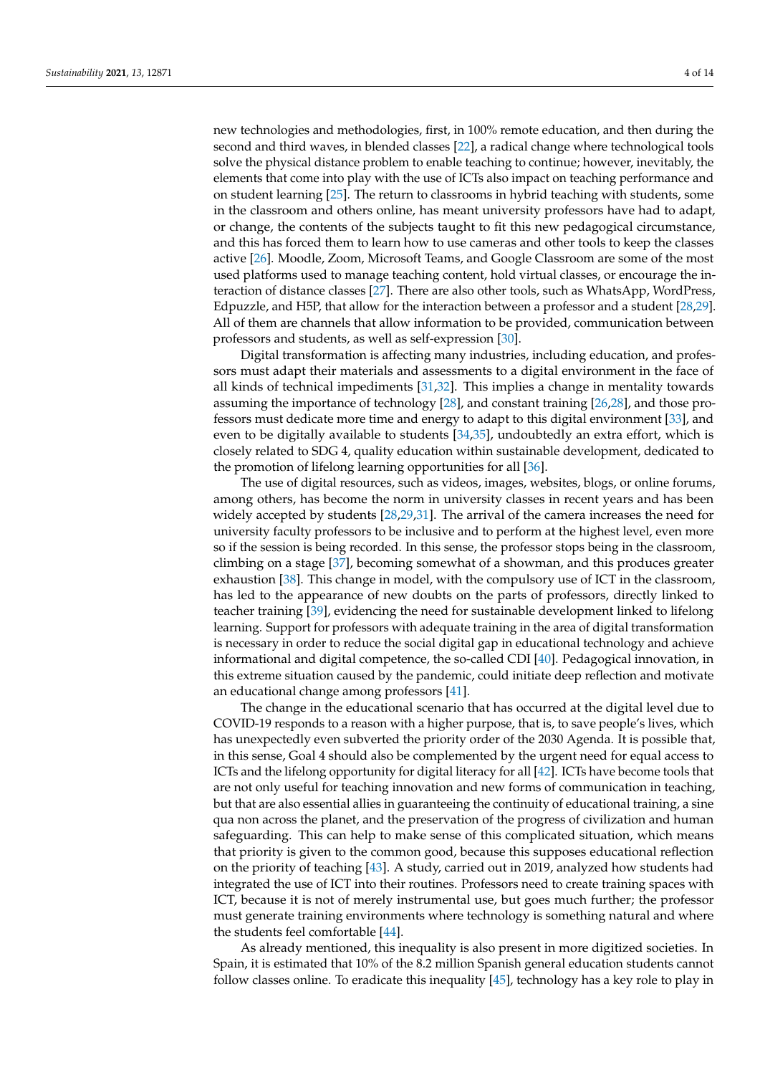new technologies and methodologies, first, in 100% remote education, and then during the second and third waves, in blended classes [\[22\]](#page-12-7), a radical change where technological tools solve the physical distance problem to enable teaching to continue; however, inevitably, the elements that come into play with the use of ICTs also impact on teaching performance and on student learning [\[25\]](#page-12-10). The return to classrooms in hybrid teaching with students, some in the classroom and others online, has meant university professors have had to adapt, or change, the contents of the subjects taught to fit this new pedagogical circumstance, and this has forced them to learn how to use cameras and other tools to keep the classes active [\[26\]](#page-12-11). Moodle, Zoom, Microsoft Teams, and Google Classroom are some of the most used platforms used to manage teaching content, hold virtual classes, or encourage the interaction of distance classes [\[27\]](#page-12-12). There are also other tools, such as WhatsApp, WordPress, Edpuzzle, and H5P, that allow for the interaction between a professor and a student [\[28](#page-12-13)[,29\]](#page-12-14). All of them are channels that allow information to be provided, communication between professors and students, as well as self-expression [\[30\]](#page-12-15).

Digital transformation is affecting many industries, including education, and professors must adapt their materials and assessments to a digital environment in the face of all kinds of technical impediments [\[31,](#page-12-16)[32\]](#page-12-17). This implies a change in mentality towards assuming the importance of technology [\[28\]](#page-12-13), and constant training [\[26,](#page-12-11)[28\]](#page-12-13), and those professors must dedicate more time and energy to adapt to this digital environment [\[33\]](#page-12-18), and even to be digitally available to students  $[34,35]$  $[34,35]$ , undoubtedly an extra effort, which is closely related to SDG 4, quality education within sustainable development, dedicated to the promotion of lifelong learning opportunities for all [\[36\]](#page-12-21).

The use of digital resources, such as videos, images, websites, blogs, or online forums, among others, has become the norm in university classes in recent years and has been widely accepted by students [\[28,](#page-12-13)[29,](#page-12-14)[31\]](#page-12-16). The arrival of the camera increases the need for university faculty professors to be inclusive and to perform at the highest level, even more so if the session is being recorded. In this sense, the professor stops being in the classroom, climbing on a stage [\[37\]](#page-12-22), becoming somewhat of a showman, and this produces greater exhaustion [\[38\]](#page-12-23). This change in model, with the compulsory use of ICT in the classroom, has led to the appearance of new doubts on the parts of professors, directly linked to teacher training [\[39\]](#page-12-24), evidencing the need for sustainable development linked to lifelong learning. Support for professors with adequate training in the area of digital transformation is necessary in order to reduce the social digital gap in educational technology and achieve informational and digital competence, the so-called CDI [\[40\]](#page-12-25). Pedagogical innovation, in this extreme situation caused by the pandemic, could initiate deep reflection and motivate an educational change among professors [\[41\]](#page-12-26).

The change in the educational scenario that has occurred at the digital level due to COVID-19 responds to a reason with a higher purpose, that is, to save people's lives, which has unexpectedly even subverted the priority order of the 2030 Agenda. It is possible that, in this sense, Goal 4 should also be complemented by the urgent need for equal access to ICTs and the lifelong opportunity for digital literacy for all [\[42\]](#page-12-27). ICTs have become tools that are not only useful for teaching innovation and new forms of communication in teaching, but that are also essential allies in guaranteeing the continuity of educational training, a sine qua non across the planet, and the preservation of the progress of civilization and human safeguarding. This can help to make sense of this complicated situation, which means that priority is given to the common good, because this supposes educational reflection on the priority of teaching [\[43\]](#page-13-0). A study, carried out in 2019, analyzed how students had integrated the use of ICT into their routines. Professors need to create training spaces with ICT, because it is not of merely instrumental use, but goes much further; the professor must generate training environments where technology is something natural and where the students feel comfortable [\[44\]](#page-13-1).

As already mentioned, this inequality is also present in more digitized societies. In Spain, it is estimated that 10% of the 8.2 million Spanish general education students cannot follow classes online. To eradicate this inequality [\[45\]](#page-13-2), technology has a key role to play in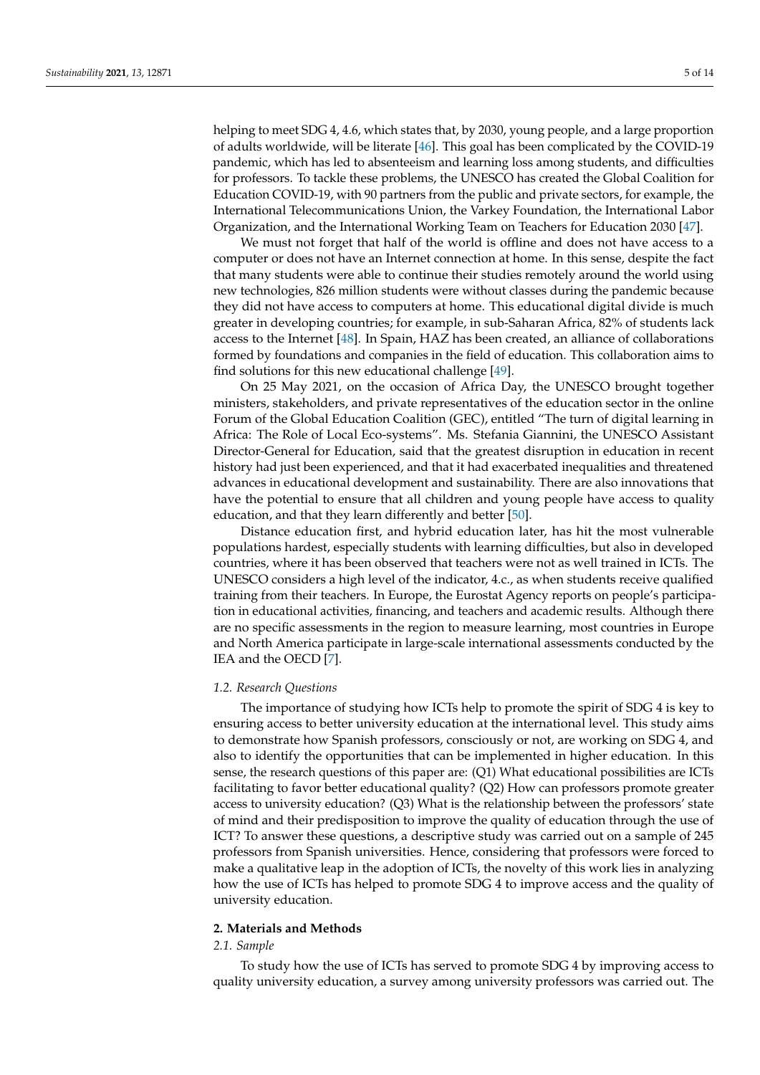helping to meet SDG 4, 4.6, which states that, by 2030, young people, and a large proportion of adults worldwide, will be literate [\[46\]](#page-13-3). This goal has been complicated by the COVID-19 pandemic, which has led to absenteeism and learning loss among students, and difficulties for professors. To tackle these problems, the UNESCO has created the Global Coalition for Education COVID-19, with 90 partners from the public and private sectors, for example, the International Telecommunications Union, the Varkey Foundation, the International Labor Organization, and the International Working Team on Teachers for Education 2030 [\[47\]](#page-13-4).

We must not forget that half of the world is offline and does not have access to a computer or does not have an Internet connection at home. In this sense, despite the fact that many students were able to continue their studies remotely around the world using new technologies, 826 million students were without classes during the pandemic because they did not have access to computers at home. This educational digital divide is much greater in developing countries; for example, in sub-Saharan Africa, 82% of students lack access to the Internet [\[48\]](#page-13-5). In Spain, HAZ has been created, an alliance of collaborations formed by foundations and companies in the field of education. This collaboration aims to find solutions for this new educational challenge [\[49\]](#page-13-6).

On 25 May 2021, on the occasion of Africa Day, the UNESCO brought together ministers, stakeholders, and private representatives of the education sector in the online Forum of the Global Education Coalition (GEC), entitled "The turn of digital learning in Africa: The Role of Local Eco-systems". Ms. Stefania Giannini, the UNESCO Assistant Director-General for Education, said that the greatest disruption in education in recent history had just been experienced, and that it had exacerbated inequalities and threatened advances in educational development and sustainability. There are also innovations that have the potential to ensure that all children and young people have access to quality education, and that they learn differently and better [\[50\]](#page-13-7).

Distance education first, and hybrid education later, has hit the most vulnerable populations hardest, especially students with learning difficulties, but also in developed countries, where it has been observed that teachers were not as well trained in ICTs. The UNESCO considers a high level of the indicator, 4.c., as when students receive qualified training from their teachers. In Europe, the Eurostat Agency reports on people's participation in educational activities, financing, and teachers and academic results. Although there are no specific assessments in the region to measure learning, most countries in Europe and North America participate in large-scale international assessments conducted by the IEA and the OECD [\[7\]](#page-11-6).

#### *1.2. Research Questions*

The importance of studying how ICTs help to promote the spirit of SDG 4 is key to ensuring access to better university education at the international level. This study aims to demonstrate how Spanish professors, consciously or not, are working on SDG 4, and also to identify the opportunities that can be implemented in higher education. In this sense, the research questions of this paper are: (Q1) What educational possibilities are ICTs facilitating to favor better educational quality? (Q2) How can professors promote greater access to university education? (Q3) What is the relationship between the professors' state of mind and their predisposition to improve the quality of education through the use of ICT? To answer these questions, a descriptive study was carried out on a sample of 245 professors from Spanish universities. Hence, considering that professors were forced to make a qualitative leap in the adoption of ICTs, the novelty of this work lies in analyzing how the use of ICTs has helped to promote SDG 4 to improve access and the quality of university education.

#### **2. Materials and Methods**

#### *2.1. Sample*

To study how the use of ICTs has served to promote SDG 4 by improving access to quality university education, a survey among university professors was carried out. The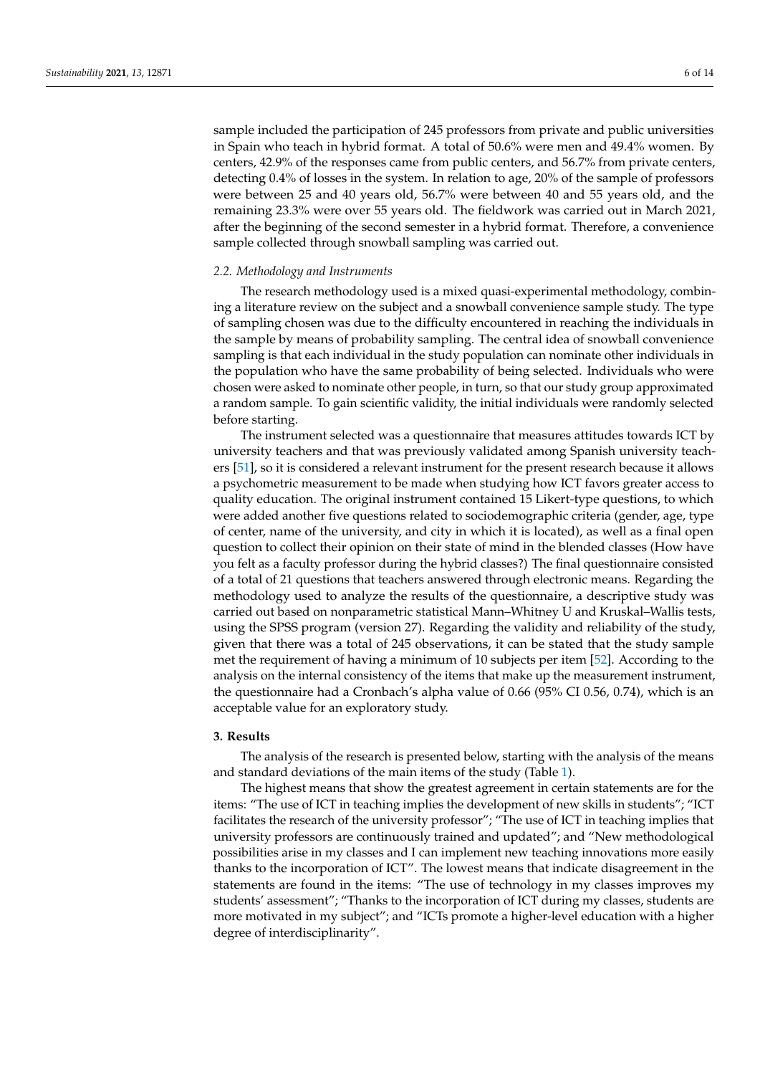sample included the participation of 245 professors from private and public universities in Spain who teach in hybrid format. A total of 50.6% were men and 49.4% women. By centers, 42.9% of the responses came from public centers, and 56.7% from private centers, detecting 0.4% of losses in the system. In relation to age, 20% of the sample of professors were between 25 and 40 years old, 56.7% were between 40 and 55 years old, and the remaining 23.3% were over 55 years old. The fieldwork was carried out in March 2021, after the beginning of the second semester in a hybrid format. Therefore, a convenience sample collected through snowball sampling was carried out.

## *2.2. Methodology and Instruments*

The research methodology used is a mixed quasi-experimental methodology, combining a literature review on the subject and a snowball convenience sample study. The type of sampling chosen was due to the difficulty encountered in reaching the individuals in the sample by means of probability sampling. The central idea of snowball convenience sampling is that each individual in the study population can nominate other individuals in the population who have the same probability of being selected. Individuals who were chosen were asked to nominate other people, in turn, so that our study group approximated a random sample. To gain scientific validity, the initial individuals were randomly selected before starting.

The instrument selected was a questionnaire that measures attitudes towards ICT by university teachers and that was previously validated among Spanish university teachers [\[51\]](#page-13-8), so it is considered a relevant instrument for the present research because it allows a psychometric measurement to be made when studying how ICT favors greater access to quality education. The original instrument contained 15 Likert-type questions, to which were added another five questions related to sociodemographic criteria (gender, age, type of center, name of the university, and city in which it is located), as well as a final open question to collect their opinion on their state of mind in the blended classes (How have you felt as a faculty professor during the hybrid classes?) The final questionnaire consisted of a total of 21 questions that teachers answered through electronic means. Regarding the methodology used to analyze the results of the questionnaire, a descriptive study was carried out based on nonparametric statistical Mann–Whitney U and Kruskal–Wallis tests, using the SPSS program (version 27). Regarding the validity and reliability of the study, given that there was a total of 245 observations, it can be stated that the study sample met the requirement of having a minimum of 10 subjects per item [\[52\]](#page-13-9). According to the analysis on the internal consistency of the items that make up the measurement instrument, the questionnaire had a Cronbach's alpha value of 0.66 (95% CI 0.56, 0.74), which is an acceptable value for an exploratory study.

#### **3. Results**

The analysis of the research is presented below, starting with the analysis of the means and standard deviations of the main items of the study (Table [1\)](#page-6-0).

The highest means that show the greatest agreement in certain statements are for the items: "The use of ICT in teaching implies the development of new skills in students"; "ICT facilitates the research of the university professor"; "The use of ICT in teaching implies that university professors are continuously trained and updated"; and "New methodological possibilities arise in my classes and I can implement new teaching innovations more easily thanks to the incorporation of ICT". The lowest means that indicate disagreement in the statements are found in the items: "The use of technology in my classes improves my students' assessment"; "Thanks to the incorporation of ICT during my classes, students are more motivated in my subject"; and "ICTs promote a higher-level education with a higher degree of interdisciplinarity".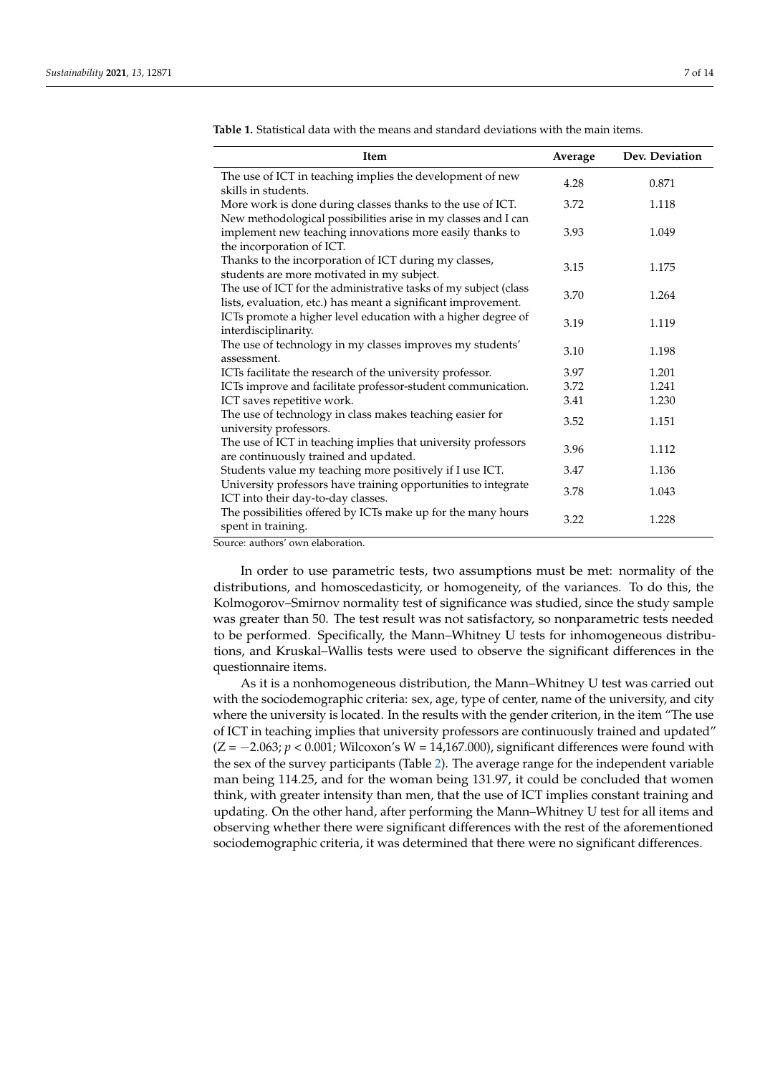| <b>Item</b>                                                                                                                                             | Average | Dev. Deviation |
|---------------------------------------------------------------------------------------------------------------------------------------------------------|---------|----------------|
| The use of ICT in teaching implies the development of new<br>skills in students.                                                                        | 4.28    | 0.871          |
| More work is done during classes thanks to the use of ICT.                                                                                              | 3.72    | 1.118          |
| New methodological possibilities arise in my classes and I can<br>implement new teaching innovations more easily thanks to<br>the incorporation of ICT. | 3.93    | 1.049          |
| Thanks to the incorporation of ICT during my classes,<br>students are more motivated in my subject.                                                     | 3.15    | 1.175          |
| The use of ICT for the administrative tasks of my subject (class<br>lists, evaluation, etc.) has meant a significant improvement.                       | 3.70    | 1.264          |
| ICTs promote a higher level education with a higher degree of<br>interdisciplinarity.                                                                   | 3.19    | 1.119          |
| The use of technology in my classes improves my students'<br>assessment.                                                                                | 3.10    | 1.198          |
| ICTs facilitate the research of the university professor.                                                                                               | 3.97    | 1.201          |
| ICTs improve and facilitate professor-student communication.                                                                                            | 3.72    | 1.241          |
| ICT saves repetitive work.                                                                                                                              | 3.41    | 1.230          |
| The use of technology in class makes teaching easier for<br>university professors.                                                                      | 3.52    | 1.151          |
| The use of ICT in teaching implies that university professors<br>are continuously trained and updated.                                                  | 3.96    | 1.112          |
| Students value my teaching more positively if I use ICT.                                                                                                | 3.47    | 1.136          |
| University professors have training opportunities to integrate<br>ICT into their day-to-day classes.                                                    | 3.78    | 1.043          |
| The possibilities offered by ICTs make up for the many hours<br>spent in training.                                                                      | 3.22    | 1.228          |

<span id="page-6-0"></span>**Table 1.** Statistical data with the means and standard deviations with the main items.

Source: authors' own elaboration.

In order to use parametric tests, two assumptions must be met: normality of the distributions, and homoscedasticity, or homogeneity, of the variances. To do this, the Kolmogorov–Smirnov normality test of significance was studied, since the study sample was greater than 50. The test result was not satisfactory, so nonparametric tests needed to be performed. Specifically, the Mann–Whitney U tests for inhomogeneous distributions, and Kruskal–Wallis tests were used to observe the significant differences in the questionnaire items.

As it is a nonhomogeneous distribution, the Mann–Whitney U test was carried out with the sociodemographic criteria: sex, age, type of center, name of the university, and city where the university is located. In the results with the gender criterion, in the item "The use of ICT in teaching implies that university professors are continuously trained and updated" (Z = −2.063; *p* < 0.001; Wilcoxon's W = 14,167.000), significant differences were found with the sex of the survey participants (Table [2\)](#page-7-0). The average range for the independent variable man being 114.25, and for the woman being 131.97, it could be concluded that women think, with greater intensity than men, that the use of ICT implies constant training and updating. On the other hand, after performing the Mann–Whitney U test for all items and observing whether there were significant differences with the rest of the aforementioned sociodemographic criteria, it was determined that there were no significant differences.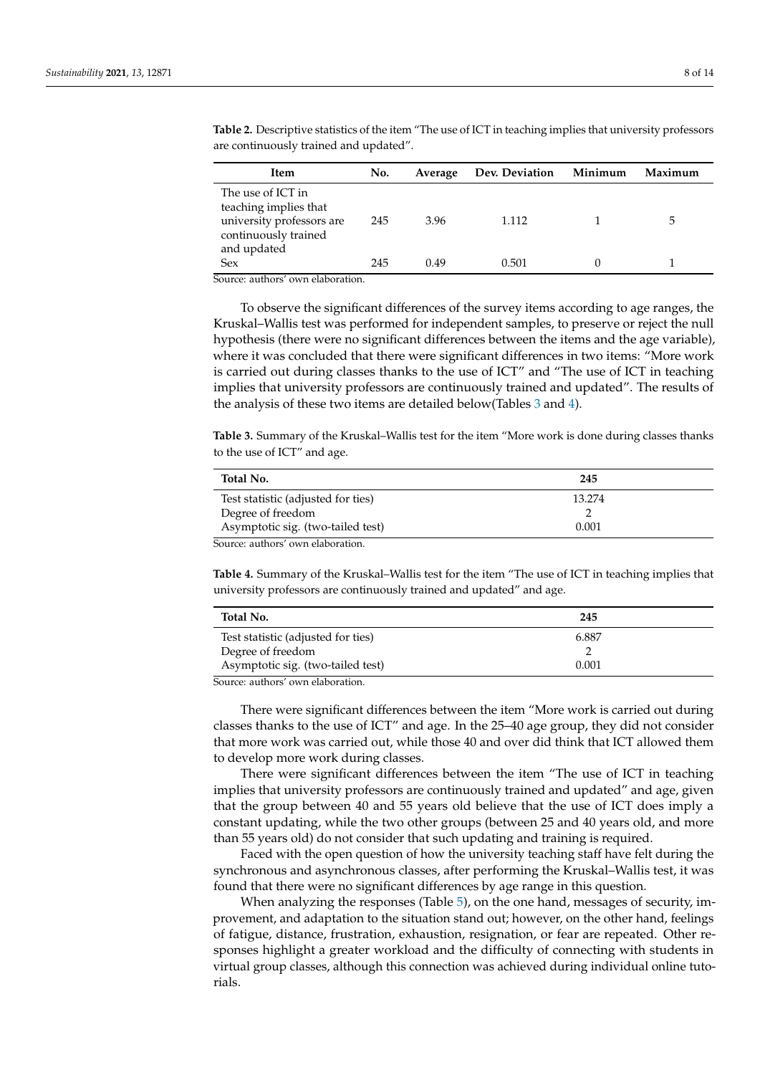| Item                                                             | No. | Average | Dev. Deviation Minimum | Maximum |
|------------------------------------------------------------------|-----|---------|------------------------|---------|
| The use of ICT in<br>teaching implies that                       |     |         |                        |         |
| university professors are<br>continuously trained<br>and updated | 245 | 3.96    | 1.112                  |         |
| <b>Sex</b><br>ourse authors' our alaboration                     | 245 | 0.49    | 0.501                  |         |

<span id="page-7-0"></span>**Table 2.** Descriptive statistics of the item "The use of ICT in teaching implies that university professors are continuously trained and updated".

Source: authors' own elaboration.

To observe the significant differences of the survey items according to age ranges, the Kruskal–Wallis test was performed for independent samples, to preserve or reject the null hypothesis (there were no significant differences between the items and the age variable), where it was concluded that there were significant differences in two items: "More work is carried out during classes thanks to the use of ICT" and "The use of ICT in teaching implies that university professors are continuously trained and updated". The results of the analysis of these two items are detailed below(Tables [3](#page-7-1) and [4\)](#page-7-2).

<span id="page-7-1"></span>**Table 3.** Summary of the Kruskal–Wallis test for the item "More work is done during classes thanks to the use of ICT" and age.

| Total No.                          | 245    |  |
|------------------------------------|--------|--|
| Test statistic (adjusted for ties) | 13.274 |  |
| Degree of freedom                  |        |  |
| Asymptotic sig. (two-tailed test)  | 0.001  |  |
| Source: authors' own elaboration.  |        |  |

<span id="page-7-2"></span>**Table 4.** Summary of the Kruskal–Wallis test for the item "The use of ICT in teaching implies that university professors are continuously trained and updated" and age.

| Total No.                                               | 245   |  |
|---------------------------------------------------------|-------|--|
| Test statistic (adjusted for ties)                      | 6.887 |  |
| Degree of freedom                                       |       |  |
| Asymptotic sig. (two-tailed test)                       | 0.001 |  |
| $\sim$ $\sim$ $\sim$ $\sim$ $\sim$ $\sim$ $\sim$ $\sim$ |       |  |

Source: authors' own elaboration.

There were significant differences between the item "More work is carried out during classes thanks to the use of ICT" and age. In the 25–40 age group, they did not consider that more work was carried out, while those 40 and over did think that ICT allowed them to develop more work during classes.

There were significant differences between the item "The use of ICT in teaching implies that university professors are continuously trained and updated" and age, given that the group between 40 and 55 years old believe that the use of ICT does imply a constant updating, while the two other groups (between 25 and 40 years old, and more than 55 years old) do not consider that such updating and training is required.

Faced with the open question of how the university teaching staff have felt during the synchronous and asynchronous classes, after performing the Kruskal–Wallis test, it was found that there were no significant differences by age range in this question.

When analyzing the responses (Table [5\)](#page-8-0), on the one hand, messages of security, improvement, and adaptation to the situation stand out; however, on the other hand, feelings of fatigue, distance, frustration, exhaustion, resignation, or fear are repeated. Other responses highlight a greater workload and the difficulty of connecting with students in virtual group classes, although this connection was achieved during individual online tutorials.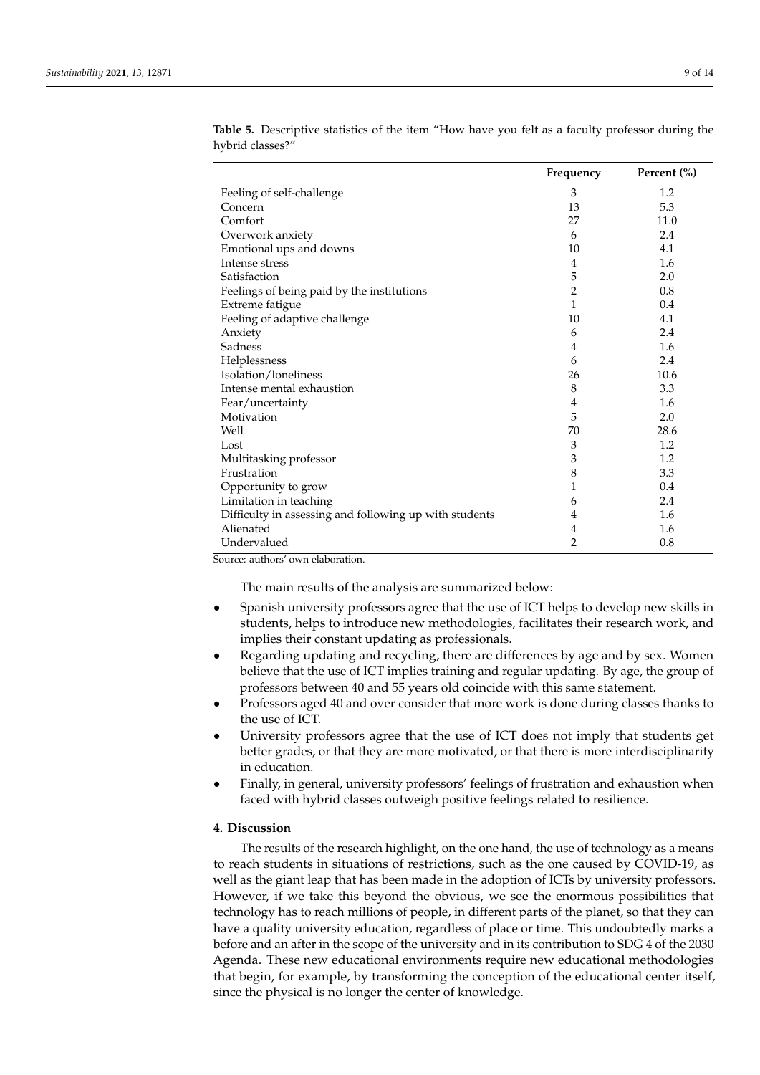|                                                        | Frequency | Percent (%) |
|--------------------------------------------------------|-----------|-------------|
| Feeling of self-challenge                              | 3         | 1.2         |
| Concern                                                | 13        | 5.3         |
| Comfort                                                | 27        | 11.0        |
| Overwork anxiety                                       | 6         | 2.4         |
| Emotional ups and downs                                | 10        | 4.1         |
| Intense stress                                         | 4         | 1.6         |
| Satisfaction                                           | 5         | 2.0         |
| Feelings of being paid by the institutions             | 2         | 0.8         |
| Extreme fatigue                                        | 1         | 0.4         |
| Feeling of adaptive challenge                          | 10        | 4.1         |
| Anxiety                                                | 6         | 2.4         |
| Sadness                                                | 4         | 1.6         |
| Helplessness                                           | 6         | 2.4         |
| Isolation/loneliness                                   | 26        | 10.6        |
| Intense mental exhaustion                              | 8         | 3.3         |
| Fear/uncertainty                                       | 4         | 1.6         |
| Motivation                                             | 5         | 2.0         |
| Well                                                   | 70        | 28.6        |
| Lost                                                   | 3         | 1.2         |
| Multitasking professor                                 | 3         | 1.2         |
| Frustration                                            | 8         | 3.3         |
| Opportunity to grow                                    | 1         | 0.4         |
| Limitation in teaching                                 | 6         | 2.4         |
| Difficulty in assessing and following up with students | 4         | 1.6         |
| Alienated                                              | 4         | 1.6         |
| Undervalued                                            | 2         | 0.8         |

<span id="page-8-0"></span>**Table 5.** Descriptive statistics of the item "How have you felt as a faculty professor during the hybrid classes?"

Source: authors' own elaboration.

The main results of the analysis are summarized below:

- Spanish university professors agree that the use of ICT helps to develop new skills in students, helps to introduce new methodologies, facilitates their research work, and implies their constant updating as professionals.
- Regarding updating and recycling, there are differences by age and by sex. Women believe that the use of ICT implies training and regular updating. By age, the group of professors between 40 and 55 years old coincide with this same statement.
- Professors aged 40 and over consider that more work is done during classes thanks to the use of ICT.
- University professors agree that the use of ICT does not imply that students get better grades, or that they are more motivated, or that there is more interdisciplinarity in education.
- Finally, in general, university professors' feelings of frustration and exhaustion when faced with hybrid classes outweigh positive feelings related to resilience.

#### **4. Discussion**

The results of the research highlight, on the one hand, the use of technology as a means to reach students in situations of restrictions, such as the one caused by COVID-19, as well as the giant leap that has been made in the adoption of ICTs by university professors. However, if we take this beyond the obvious, we see the enormous possibilities that technology has to reach millions of people, in different parts of the planet, so that they can have a quality university education, regardless of place or time. This undoubtedly marks a before and an after in the scope of the university and in its contribution to SDG 4 of the 2030 Agenda. These new educational environments require new educational methodologies that begin, for example, by transforming the conception of the educational center itself, since the physical is no longer the center of knowledge.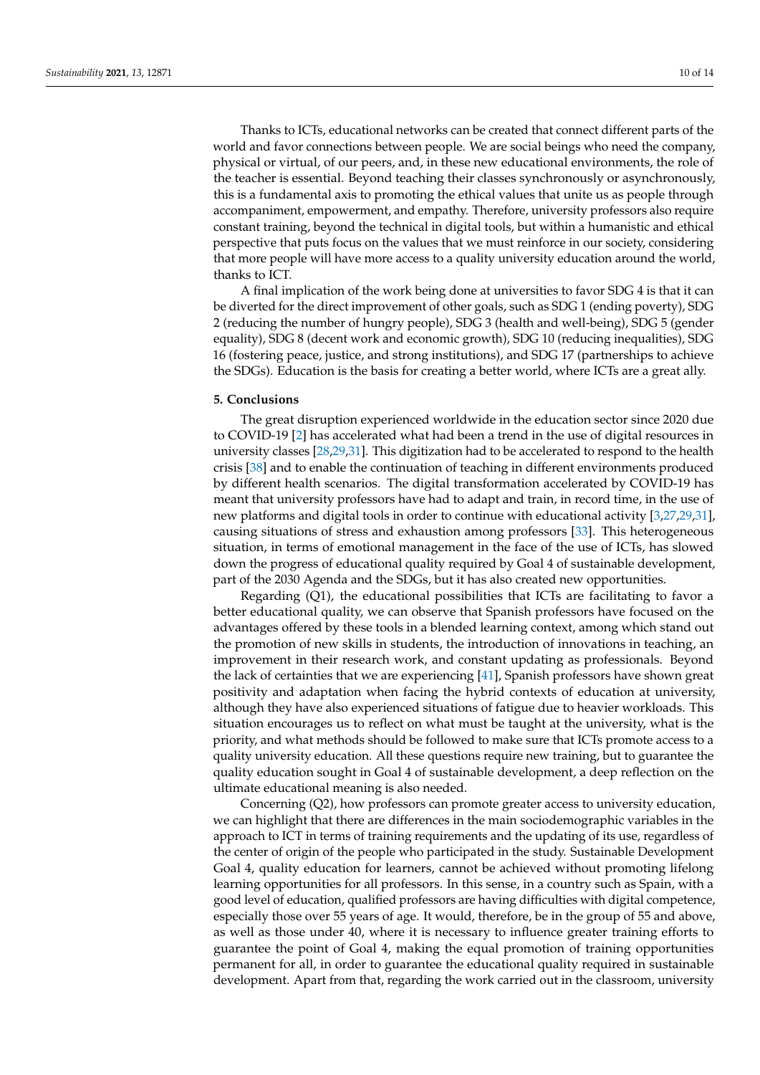Thanks to ICTs, educational networks can be created that connect different parts of the world and favor connections between people. We are social beings who need the company, physical or virtual, of our peers, and, in these new educational environments, the role of the teacher is essential. Beyond teaching their classes synchronously or asynchronously, this is a fundamental axis to promoting the ethical values that unite us as people through accompaniment, empowerment, and empathy. Therefore, university professors also require constant training, beyond the technical in digital tools, but within a humanistic and ethical perspective that puts focus on the values that we must reinforce in our society, considering that more people will have more access to a quality university education around the world, thanks to ICT.

A final implication of the work being done at universities to favor SDG 4 is that it can be diverted for the direct improvement of other goals, such as SDG 1 (ending poverty), SDG 2 (reducing the number of hungry people), SDG 3 (health and well-being), SDG 5 (gender equality), SDG 8 (decent work and economic growth), SDG 10 (reducing inequalities), SDG 16 (fostering peace, justice, and strong institutions), and SDG 17 (partnerships to achieve the SDGs). Education is the basis for creating a better world, where ICTs are a great ally.

#### **5. Conclusions**

The great disruption experienced worldwide in the education sector since 2020 due to COVID-19 [\[2\]](#page-11-1) has accelerated what had been a trend in the use of digital resources in university classes [\[28,](#page-12-13)[29,](#page-12-14)[31\]](#page-12-16). This digitization had to be accelerated to respond to the health crisis [\[38\]](#page-12-23) and to enable the continuation of teaching in different environments produced by different health scenarios. The digital transformation accelerated by COVID-19 has meant that university professors have had to adapt and train, in record time, in the use of new platforms and digital tools in order to continue with educational activity [\[3](#page-11-2)[,27](#page-12-12)[,29](#page-12-14)[,31\]](#page-12-16), causing situations of stress and exhaustion among professors [\[33\]](#page-12-18). This heterogeneous situation, in terms of emotional management in the face of the use of ICTs, has slowed down the progress of educational quality required by Goal 4 of sustainable development, part of the 2030 Agenda and the SDGs, but it has also created new opportunities.

Regarding  $(Q1)$ , the educational possibilities that ICTs are facilitating to favor a better educational quality, we can observe that Spanish professors have focused on the advantages offered by these tools in a blended learning context, among which stand out the promotion of new skills in students, the introduction of innovations in teaching, an improvement in their research work, and constant updating as professionals. Beyond the lack of certainties that we are experiencing [\[41\]](#page-12-26), Spanish professors have shown great positivity and adaptation when facing the hybrid contexts of education at university, although they have also experienced situations of fatigue due to heavier workloads. This situation encourages us to reflect on what must be taught at the university, what is the priority, and what methods should be followed to make sure that ICTs promote access to a quality university education. All these questions require new training, but to guarantee the quality education sought in Goal 4 of sustainable development, a deep reflection on the ultimate educational meaning is also needed.

Concerning (Q2), how professors can promote greater access to university education, we can highlight that there are differences in the main sociodemographic variables in the approach to ICT in terms of training requirements and the updating of its use, regardless of the center of origin of the people who participated in the study. Sustainable Development Goal 4, quality education for learners, cannot be achieved without promoting lifelong learning opportunities for all professors. In this sense, in a country such as Spain, with a good level of education, qualified professors are having difficulties with digital competence, especially those over 55 years of age. It would, therefore, be in the group of 55 and above, as well as those under 40, where it is necessary to influence greater training efforts to guarantee the point of Goal 4, making the equal promotion of training opportunities permanent for all, in order to guarantee the educational quality required in sustainable development. Apart from that, regarding the work carried out in the classroom, university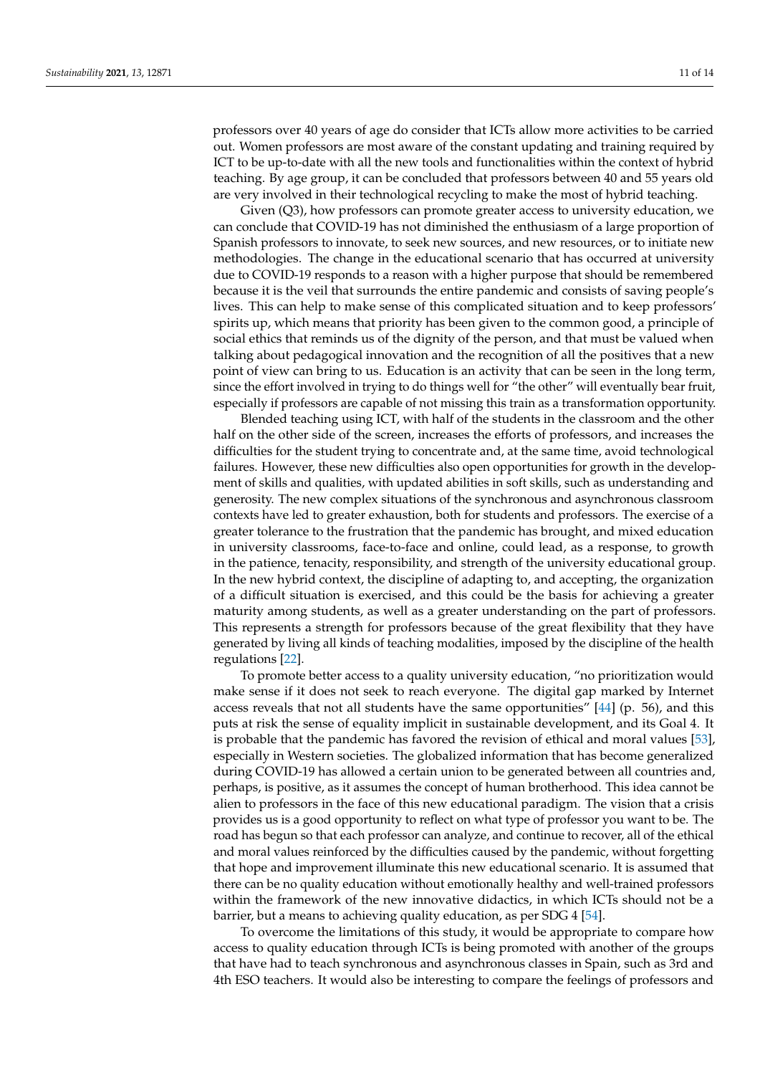professors over 40 years of age do consider that ICTs allow more activities to be carried out. Women professors are most aware of the constant updating and training required by ICT to be up-to-date with all the new tools and functionalities within the context of hybrid teaching. By age group, it can be concluded that professors between 40 and 55 years old are very involved in their technological recycling to make the most of hybrid teaching.

Given (Q3), how professors can promote greater access to university education, we can conclude that COVID-19 has not diminished the enthusiasm of a large proportion of Spanish professors to innovate, to seek new sources, and new resources, or to initiate new methodologies. The change in the educational scenario that has occurred at university due to COVID-19 responds to a reason with a higher purpose that should be remembered because it is the veil that surrounds the entire pandemic and consists of saving people's lives. This can help to make sense of this complicated situation and to keep professors' spirits up, which means that priority has been given to the common good, a principle of social ethics that reminds us of the dignity of the person, and that must be valued when talking about pedagogical innovation and the recognition of all the positives that a new point of view can bring to us. Education is an activity that can be seen in the long term, since the effort involved in trying to do things well for "the other" will eventually bear fruit, especially if professors are capable of not missing this train as a transformation opportunity.

Blended teaching using ICT, with half of the students in the classroom and the other half on the other side of the screen, increases the efforts of professors, and increases the difficulties for the student trying to concentrate and, at the same time, avoid technological failures. However, these new difficulties also open opportunities for growth in the development of skills and qualities, with updated abilities in soft skills, such as understanding and generosity. The new complex situations of the synchronous and asynchronous classroom contexts have led to greater exhaustion, both for students and professors. The exercise of a greater tolerance to the frustration that the pandemic has brought, and mixed education in university classrooms, face-to-face and online, could lead, as a response, to growth in the patience, tenacity, responsibility, and strength of the university educational group. In the new hybrid context, the discipline of adapting to, and accepting, the organization of a difficult situation is exercised, and this could be the basis for achieving a greater maturity among students, as well as a greater understanding on the part of professors. This represents a strength for professors because of the great flexibility that they have generated by living all kinds of teaching modalities, imposed by the discipline of the health regulations [\[22\]](#page-12-7).

To promote better access to a quality university education, "no prioritization would make sense if it does not seek to reach everyone. The digital gap marked by Internet access reveals that not all students have the same opportunities" [\[44\]](#page-13-1) (p. 56), and this puts at risk the sense of equality implicit in sustainable development, and its Goal 4. It is probable that the pandemic has favored the revision of ethical and moral values [\[53\]](#page-13-10), especially in Western societies. The globalized information that has become generalized during COVID-19 has allowed a certain union to be generated between all countries and, perhaps, is positive, as it assumes the concept of human brotherhood. This idea cannot be alien to professors in the face of this new educational paradigm. The vision that a crisis provides us is a good opportunity to reflect on what type of professor you want to be. The road has begun so that each professor can analyze, and continue to recover, all of the ethical and moral values reinforced by the difficulties caused by the pandemic, without forgetting that hope and improvement illuminate this new educational scenario. It is assumed that there can be no quality education without emotionally healthy and well-trained professors within the framework of the new innovative didactics, in which ICTs should not be a barrier, but a means to achieving quality education, as per SDG 4 [\[54\]](#page-13-11).

To overcome the limitations of this study, it would be appropriate to compare how access to quality education through ICTs is being promoted with another of the groups that have had to teach synchronous and asynchronous classes in Spain, such as 3rd and 4th ESO teachers. It would also be interesting to compare the feelings of professors and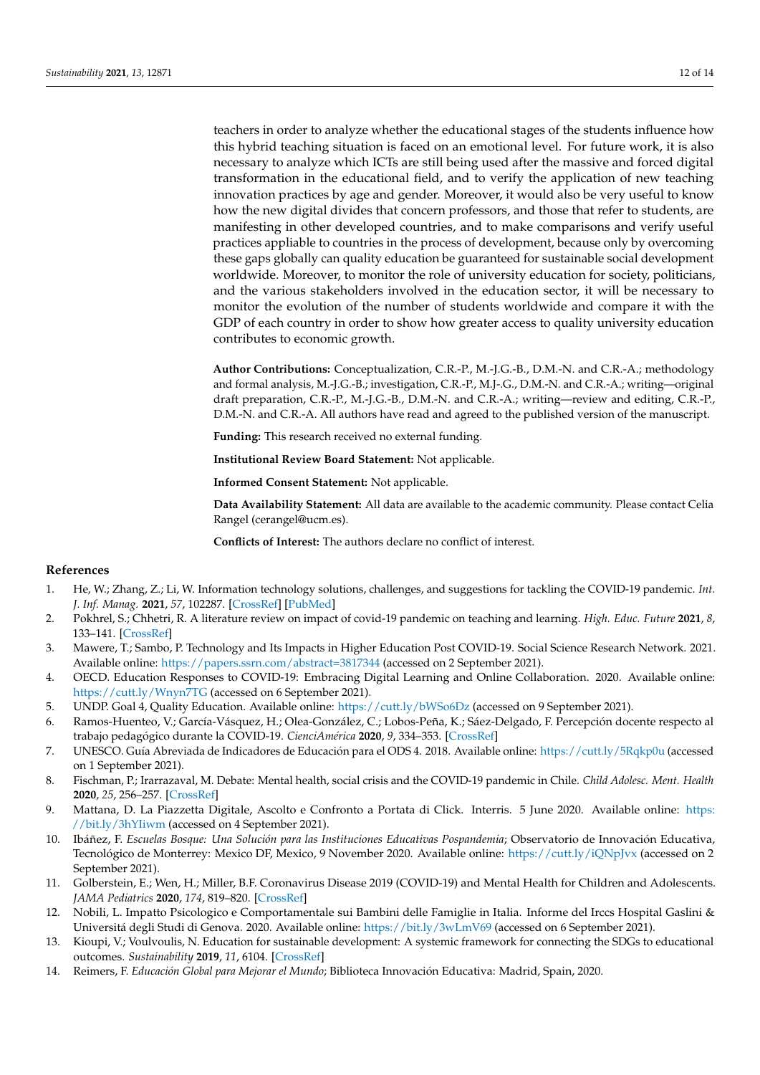teachers in order to analyze whether the educational stages of the students influence how this hybrid teaching situation is faced on an emotional level. For future work, it is also necessary to analyze which ICTs are still being used after the massive and forced digital transformation in the educational field, and to verify the application of new teaching innovation practices by age and gender. Moreover, it would also be very useful to know how the new digital divides that concern professors, and those that refer to students, are manifesting in other developed countries, and to make comparisons and verify useful practices appliable to countries in the process of development, because only by overcoming these gaps globally can quality education be guaranteed for sustainable social development worldwide. Moreover, to monitor the role of university education for society, politicians, and the various stakeholders involved in the education sector, it will be necessary to monitor the evolution of the number of students worldwide and compare it with the GDP of each country in order to show how greater access to quality university education contributes to economic growth.

**Author Contributions:** Conceptualization, C.R.-P., M.-J.G.-B., D.M.-N. and C.R.-A.; methodology and formal analysis, M.-J.G.-B.; investigation, C.R.-P., M.J-.G., D.M.-N. and C.R.-A.; writing—original draft preparation, C.R.-P., M.-J.G.-B., D.M.-N. and C.R.-A.; writing—review and editing, C.R.-P., D.M.-N. and C.R.-A. All authors have read and agreed to the published version of the manuscript.

**Funding:** This research received no external funding.

**Institutional Review Board Statement:** Not applicable.

**Informed Consent Statement:** Not applicable.

**Data Availability Statement:** All data are available to the academic community. Please contact Celia Rangel (cerangel@ucm.es).

**Conflicts of Interest:** The authors declare no conflict of interest.

# **References**

- <span id="page-11-0"></span>1. He, W.; Zhang, Z.; Li, W. Information technology solutions, challenges, and suggestions for tackling the COVID-19 pandemic. *Int. J. Inf. Manag.* **2021**, *57*, 102287. [\[CrossRef\]](http://doi.org/10.1016/j.ijinfomgt.2020.102287) [\[PubMed\]](http://www.ncbi.nlm.nih.gov/pubmed/33318721)
- <span id="page-11-1"></span>2. Pokhrel, S.; Chhetri, R. A literature review on impact of covid-19 pandemic on teaching and learning. *High. Educ. Future* **2021**, *8*, 133–141. [\[CrossRef\]](http://doi.org/10.1177/2347631120983481)
- <span id="page-11-2"></span>3. Mawere, T.; Sambo, P. Technology and Its Impacts in Higher Education Post COVID-19. Social Science Research Network. 2021. Available online: <https://papers.ssrn.com/abstract=3817344> (accessed on 2 September 2021).
- <span id="page-11-3"></span>4. OECD. Education Responses to COVID-19: Embracing Digital Learning and Online Collaboration. 2020. Available online: <https://cutt.ly/Wnyn7TG> (accessed on 6 September 2021).
- <span id="page-11-4"></span>5. UNDP. Goal 4, Quality Education. Available online: <https://cutt.ly/bWSo6Dz> (accessed on 9 September 2021).
- <span id="page-11-5"></span>6. Ramos-Huenteo, V.; García-Vásquez, H.; Olea-González, C.; Lobos-Peña, K.; Sáez-Delgado, F. Percepción docente respecto al trabajo pedagógico durante la COVID-19. *CienciAmérica* **2020**, *9*, 334–353. [\[CrossRef\]](http://doi.org/10.33210/ca.v9i2.325)
- <span id="page-11-6"></span>7. UNESCO. Guía Abreviada de Indicadores de Educación para el ODS 4. 2018. Available online: <https://cutt.ly/5Rqkp0u> (accessed on 1 September 2021).
- <span id="page-11-7"></span>8. Fischman, P.; Irarrazaval, M. Debate: Mental health, social crisis and the COVID-19 pandemic in Chile. *Child Adolesc. Ment. Health* **2020**, *25*, 256–257. [\[CrossRef\]](http://doi.org/10.1111/camh.12424)
- <span id="page-11-8"></span>9. Mattana, D. La Piazzetta Digitale, Ascolto e Confronto a Portata di Click. Interris. 5 June 2020. Available online: [https:](https://bit.ly/3hYIiwm) [//bit.ly/3hYIiwm](https://bit.ly/3hYIiwm) (accessed on 4 September 2021).
- <span id="page-11-9"></span>10. Ibáñez, F. *Escuelas Bosque: Una Solución para las Instituciones Educativas Pospandemia*; Observatorio de Innovación Educativa, Tecnológico de Monterrey: Mexico DF, Mexico, 9 November 2020. Available online: <https://cutt.ly/iQNpJvx> (accessed on 2 September 2021).
- <span id="page-11-10"></span>11. Golberstein, E.; Wen, H.; Miller, B.F. Coronavirus Disease 2019 (COVID-19) and Mental Health for Children and Adolescents. *JAMA Pediatrics* **2020**, *174*, 819–820. [\[CrossRef\]](http://doi.org/10.1001/jamapediatrics.2020.1456)
- <span id="page-11-11"></span>12. Nobili, L. Impatto Psicologico e Comportamentale sui Bambini delle Famiglie in Italia. Informe del Irccs Hospital Gaslini & Universitá degli Studi di Genova. 2020. Available online: <https://bit.ly/3wLmV69> (accessed on 6 September 2021).
- <span id="page-11-12"></span>13. Kioupi, V.; Voulvoulis, N. Education for sustainable development: A systemic framework for connecting the SDGs to educational outcomes. *Sustainability* **2019**, *11*, 6104. [\[CrossRef\]](http://doi.org/10.3390/su11216104)
- <span id="page-11-13"></span>14. Reimers, F. *Educación Global para Mejorar el Mundo*; Biblioteca Innovación Educativa: Madrid, Spain, 2020.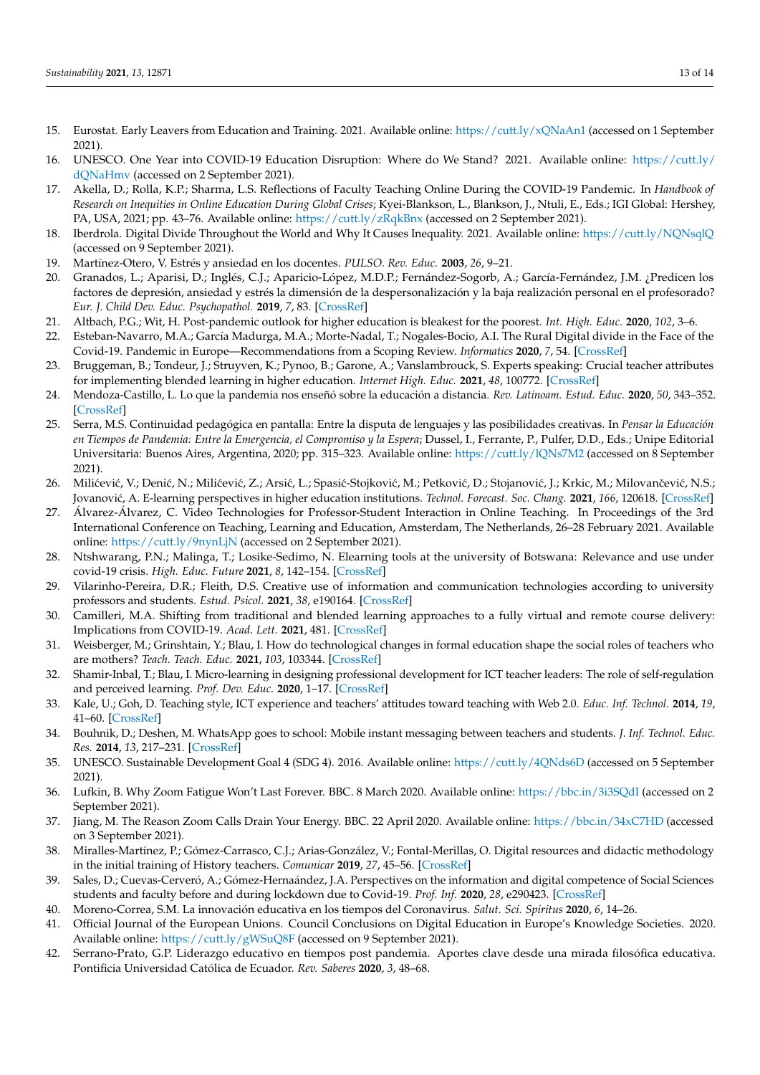- <span id="page-12-0"></span>15. Eurostat. Early Leavers from Education and Training. 2021. Available online: <https://cutt.ly/xQNaAn1> (accessed on 1 September 2021).
- <span id="page-12-1"></span>16. UNESCO. One Year into COVID-19 Education Disruption: Where do We Stand? 2021. Available online: [https://cutt.ly/](https://cutt.ly/dQNaHmv) [dQNaHmv](https://cutt.ly/dQNaHmv) (accessed on 2 September 2021).
- <span id="page-12-2"></span>17. Akella, D.; Rolla, K.P.; Sharma, L.S. Reflections of Faculty Teaching Online During the COVID-19 Pandemic. In *Handbook of Research on Inequities in Online Education During Global Crises*; Kyei-Blankson, L., Blankson, J., Ntuli, E., Eds.; IGI Global: Hershey, PA, USA, 2021; pp. 43–76. Available online: <https://cutt.ly/zRqkBnx> (accessed on 2 September 2021).
- <span id="page-12-3"></span>18. Iberdrola. Digital Divide Throughout the World and Why It Causes Inequality. 2021. Available online: <https://cutt.ly/NQNsqlQ> (accessed on 9 September 2021).
- <span id="page-12-4"></span>19. Martínez-Otero, V. Estrés y ansiedad en los docentes. *PULSO. Rev. Educ.* **2003**, *26*, 9–21.
- <span id="page-12-5"></span>20. Granados, L.; Aparisi, D.; Inglés, C.J.; Aparicio-López, M.D.P.; Fernández-Sogorb, A.; García-Fernández, J.M. ¿Predicen los factores de depresión, ansiedad y estrés la dimensión de la despersonalización y la baja realización personal en el profesorado? *Eur. J. Child Dev. Educ. Psychopathol.* **2019**, *7*, 83. [\[CrossRef\]](http://doi.org/10.30552/ejpad.v7i1.91)
- <span id="page-12-6"></span>21. Altbach, P.G.; Wit, H. Post-pandemic outlook for higher education is bleakest for the poorest. *Int. High. Educ.* **2020**, *102*, 3–6.
- <span id="page-12-7"></span>22. Esteban-Navarro, M.A.; García Madurga, M.A.; Morte-Nadal, T.; Nogales-Bocio, A.I. The Rural Digital divide in the Face of the Covid-19. Pandemic in Europe—Recommendations from a Scoping Review. *Informatics* **2020**, *7*, 54. [\[CrossRef\]](http://doi.org/10.3390/informatics7040054)
- <span id="page-12-8"></span>23. Bruggeman, B.; Tondeur, J.; Struyven, K.; Pynoo, B.; Garone, A.; Vanslambrouck, S. Experts speaking: Crucial teacher attributes for implementing blended learning in higher education. *Internet High. Educ.* **2021**, *48*, 100772. [\[CrossRef\]](http://doi.org/10.1016/j.iheduc.2020.100772)
- <span id="page-12-9"></span>24. Mendoza-Castillo, L. Lo que la pandemia nos enseñó sobre la educación a distancia. *Rev. Latinoam. Estud. Educ.* **2020**, *50*, 343–352. [\[CrossRef\]](http://doi.org/10.48102/rlee.2020.50.ESPECIAL.119)
- <span id="page-12-10"></span>25. Serra, M.S. Continuidad pedagógica en pantalla: Entre la disputa de lenguajes y las posibilidades creativas. In *Pensar la Educación en Tiempos de Pandemia: Entre la Emergencia, el Compromiso y la Espera*; Dussel, I., Ferrante, P., Pulfer, D.D., Eds.; Unipe Editorial Universitaria: Buenos Aires, Argentina, 2020; pp. 315–323. Available online: <https://cutt.ly/lQNs7M2> (accessed on 8 September 2021).
- <span id="page-12-11"></span>26. Milićević, V.; Denić, N.; Milićević, Z.; Arsić, L.; Spasić-Stojković, M.; Petković, D.; Stojanović, J.; Krkic, M.; Milovančević, N.S.; Jovanovi´c, A. E-learning perspectives in higher education institutions. *Technol. Forecast. Soc. Chang.* **2021**, *166*, 120618. [\[CrossRef\]](http://doi.org/10.1016/j.techfore.2021.120618)
- <span id="page-12-12"></span>27. Álvarez-Álvarez, C. Video Technologies for Professor-Student Interaction in Online Teaching. In Proceedings of the 3rd International Conference on Teaching, Learning and Education, Amsterdam, The Netherlands, 26–28 February 2021. Available online: <https://cutt.ly/9nynLjN> (accessed on 2 September 2021).
- <span id="page-12-13"></span>28. Ntshwarang, P.N.; Malinga, T.; Losike-Sedimo, N. Elearning tools at the university of Botswana: Relevance and use under covid-19 crisis. *High. Educ. Future* **2021**, *8*, 142–154. [\[CrossRef\]](http://doi.org/10.1177/2347631120986281)
- <span id="page-12-14"></span>29. Vilarinho-Pereira, D.R.; Fleith, D.S. Creative use of information and communication technologies according to university professors and students. *Estud. Psicol.* **2021**, *38*, e190164. [\[CrossRef\]](http://doi.org/10.1590/1982-0275202138e190164)
- <span id="page-12-15"></span>30. Camilleri, M.A. Shifting from traditional and blended learning approaches to a fully virtual and remote course delivery: Implications from COVID-19. *Acad. Lett.* **2021**, 481. [\[CrossRef\]](http://doi.org/10.20935/AL481)
- <span id="page-12-16"></span>31. Weisberger, M.; Grinshtain, Y.; Blau, I. How do technological changes in formal education shape the social roles of teachers who are mothers? *Teach. Teach. Educ.* **2021**, *103*, 103344. [\[CrossRef\]](http://doi.org/10.1016/j.tate.2021.103344)
- <span id="page-12-17"></span>32. Shamir-Inbal, T.; Blau, I. Micro-learning in designing professional development for ICT teacher leaders: The role of self-regulation and perceived learning. *Prof. Dev. Educ.* **2020**, 1–17. [\[CrossRef\]](http://doi.org/10.1080/19415257.2020.1763434)
- <span id="page-12-18"></span>33. Kale, U.; Goh, D. Teaching style, ICT experience and teachers' attitudes toward teaching with Web 2.0. *Educ. Inf. Technol.* **2014**, *19*, 41–60. [\[CrossRef\]](http://doi.org/10.1007/s10639-012-9210-3)
- <span id="page-12-19"></span>34. Bouhnik, D.; Deshen, M. WhatsApp goes to school: Mobile instant messaging between teachers and students. *J. Inf. Technol. Educ. Res.* **2014**, *13*, 217–231. [\[CrossRef\]](http://doi.org/10.28945/2051)
- <span id="page-12-20"></span>35. UNESCO. Sustainable Development Goal 4 (SDG 4). 2016. Available online: <https://cutt.ly/4QNds6D> (accessed on 5 September 2021).
- <span id="page-12-21"></span>36. Lufkin, B. Why Zoom Fatigue Won't Last Forever. BBC. 8 March 2020. Available online: <https://bbc.in/3i3SQdI> (accessed on 2 September 2021).
- <span id="page-12-22"></span>37. Jiang, M. The Reason Zoom Calls Drain Your Energy. BBC. 22 April 2020. Available online: <https://bbc.in/34xC7HD> (accessed on 3 September 2021).
- <span id="page-12-23"></span>38. Miralles-Martínez, P.; Gómez-Carrasco, C.J.; Arias-González, V.; Fontal-Merillas, O. Digital resources and didactic methodology in the initial training of History teachers. *Comunicar* **2019**, *27*, 45–56. [\[CrossRef\]](http://doi.org/10.3916/C61-2019-04)
- <span id="page-12-24"></span>39. Sales, D.; Cuevas-Cerveró, A.; Gómez-Hernaández, J.A. Perspectives on the information and digital competence of Social Sciences students and faculty before and during lockdown due to Covid-19. *Prof. Inf.* **2020**, *28*, e290423. [\[CrossRef\]](http://doi.org/10.3145/epi.2020.jul.23)
- <span id="page-12-25"></span>40. Moreno-Correa, S.M. La innovación educativa en los tiempos del Coronavirus. *Salut. Sci. Spiritus* **2020**, *6*, 14–26.
- <span id="page-12-26"></span>41. Official Journal of the European Unions. Council Conclusions on Digital Education in Europe's Knowledge Societies. 2020. Available online: <https://cutt.ly/gWSuQ8F> (accessed on 9 September 2021).
- <span id="page-12-27"></span>42. Serrano-Prato, G.P. Liderazgo educativo en tiempos post pandemia. Aportes clave desde una mirada filosófica educativa. Pontificia Universidad Católica de Ecuador. *Rev. Saberes* **2020**, *3*, 48–68.